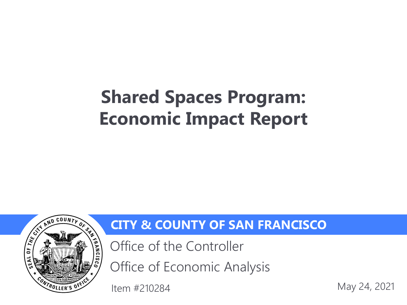# **Shared Spaces Program: Economic Impact Report**



#### **CITY & COUNTY OF SAN FRANCISCO**

Office of the Controller

Office of Economic Analysis

May 24, 2021 Item #210284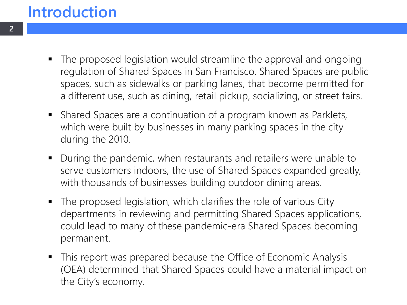#### **Introduction**

- The proposed legislation would streamline the approval and ongoing regulation of Shared Spaces in San Francisco. Shared Spaces are public spaces, such as sidewalks or parking lanes, that become permitted for a different use, such as dining, retail pickup, socializing, or street fairs.
- Shared Spaces are a continuation of a program known as Parklets, which were built by businesses in many parking spaces in the city during the 2010.
- During the pandemic, when restaurants and retailers were unable to serve customers indoors, the use of Shared Spaces expanded greatly, with thousands of businesses building outdoor dining areas.
- The proposed legislation, which clarifies the role of various City departments in reviewing and permitting Shared Spaces applications, could lead to many of these pandemic-era Shared Spaces becoming permanent.
- This report was prepared because the Office of Economic Analysis (OEA) determined that Shared Spaces could have a material impact on the City's economy.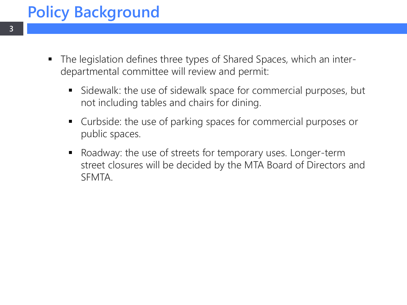# **Policy Background**

- The legislation defines three types of Shared Spaces, which an interdepartmental committee will review and permit:
	- Sidewalk: the use of sidewalk space for commercial purposes, but not including tables and chairs for dining.
	- Curbside: the use of parking spaces for commercial purposes or public spaces.
	- Roadway: the use of streets for temporary uses. Longer-term street closures will be decided by the MTA Board of Directors and SFMTA.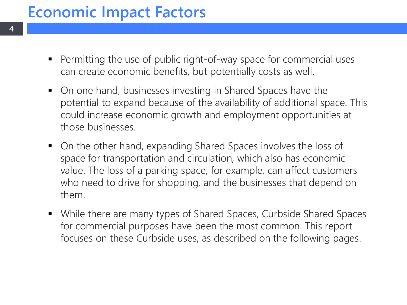### **Economic Impact Factors**

- **Permitting the use of public right-of-way space for commercial uses** can create economic benefits, but potentially costs as well.
- On one hand, businesses investing in Shared Spaces have the potential to expand because of the availability of additional space. This could increase economic growth and employment opportunities at those businesses.
- On the other hand, expanding Shared Spaces involves the loss of space for transportation and circulation, which also has economic value. The loss of a parking space, for example, can affect customers who need to drive for shopping, and the businesses that depend on them.
- While there are many types of Shared Spaces, Curbside Shared Spaces for commercial purposes have been the most common. This report focuses on these Curbside uses, as described on the following pages.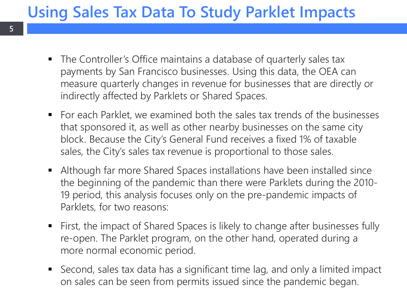# **Using Sales Tax Data To Study Parklet Impacts**

**5**

- The Controller's Office maintains a database of quarterly sales tax payments by San Francisco businesses. Using this data, the OEA can measure quarterly changes in revenue for businesses that are directly or indirectly affected by Parklets or Shared Spaces.
- For each Parklet, we examined both the sales tax trends of the businesses that sponsored it, as well as other nearby businesses on the same city block. Because the City's General Fund receives a fixed 1% of taxable sales, the City's sales tax revenue is proportional to those sales.
- Although far more Shared Spaces installations have been installed since the beginning of the pandemic than there were Parklets during the 2010- 19 period, this analysis focuses only on the pre-pandemic impacts of Parklets, for two reasons:
- First, the impact of Shared Spaces is likely to change after businesses fully re-open. The Parklet program, on the other hand, operated during a more normal economic period.
- Second, sales tax data has a significant time lag, and only a limited impact on sales can be seen from permits issued since the pandemic began.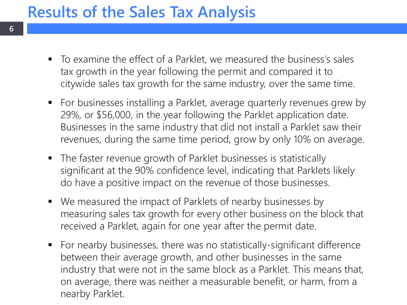### **Results of the Sales Tax Analysis**

- To examine the effect of a Parklet, we measured the business's sales tax growth in the year following the permit and compared it to citywide sales tax growth for the same industry, over the same time.
- For businesses installing a Parklet, average quarterly revenues grew by 29%, or \$56,000, in the year following the Parklet application date. Businesses in the same industry that did not install a Parklet saw their revenues, during the same time period, grow by only 10% on average.
- The faster revenue growth of Parklet businesses is statistically significant at the 90% confidence level, indicating that Parklets likely do have a positive impact on the revenue of those businesses.
- We measured the impact of Parklets of nearby businesses by measuring sales tax growth for every other business on the block that received a Parklet, again for one year after the permit date.
- For nearby businesses, there was no statistically-significant difference between their average growth, and other businesses in the same industry that were not in the same block as a Parklet. This means that, on average, there was neither a measurable benefit, or harm, from a nearby Parklet.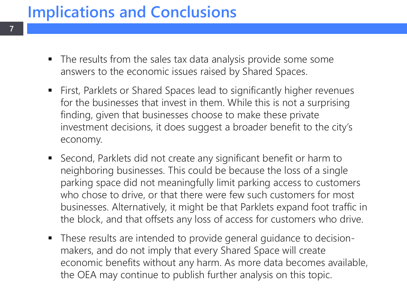# **Implications and Conclusions**

**7**

- The results from the sales tax data analysis provide some some answers to the economic issues raised by Shared Spaces.
- First, Parklets or Shared Spaces lead to significantly higher revenues for the businesses that invest in them. While this is not a surprising finding, given that businesses choose to make these private investment decisions, it does suggest a broader benefit to the city's economy.
- Second, Parklets did not create any significant benefit or harm to neighboring businesses. This could be because the loss of a single parking space did not meaningfully limit parking access to customers who chose to drive, or that there were few such customers for most businesses. Alternatively, it might be that Parklets expand foot traffic in the block, and that offsets any loss of access for customers who drive.
- These results are intended to provide general guidance to decisionmakers, and do not imply that every Shared Space will create economic benefits without any harm. As more data becomes available, the OEA may continue to publish further analysis on this topic.